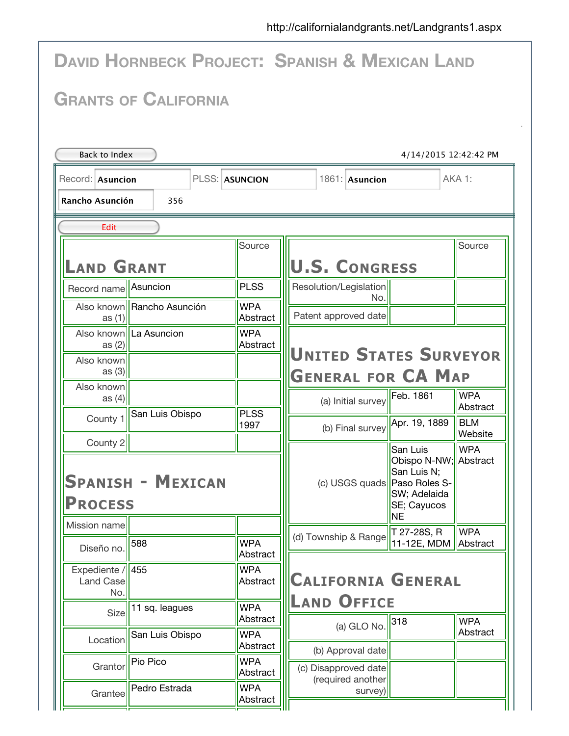|                                                                |                             |                        | <b>DAVID HORNBECK PROJECT: SPANISH &amp; MEXICAN LAND</b>                                                 |  |  |  |  |  |  |
|----------------------------------------------------------------|-----------------------------|------------------------|-----------------------------------------------------------------------------------------------------------|--|--|--|--|--|--|
|                                                                | <b>GRANTS OF CALIFORNIA</b> |                        |                                                                                                           |  |  |  |  |  |  |
| <b>Back to Index</b><br>4/14/2015 12:42:42 PM                  |                             |                        |                                                                                                           |  |  |  |  |  |  |
| AKA 1:<br>Record: Asuncion<br>PLSS: ASUNCION<br>1861: Asuncion |                             |                        |                                                                                                           |  |  |  |  |  |  |
| Rancho Asunción<br>356                                         |                             |                        |                                                                                                           |  |  |  |  |  |  |
| Edit                                                           |                             | Source                 | Source                                                                                                    |  |  |  |  |  |  |
| <b>LAND GRANT</b>                                              |                             |                        | <b>U.S. CONGRESS</b>                                                                                      |  |  |  |  |  |  |
| Record name   Asuncion                                         |                             | <b>PLSS</b>            | Resolution/Legislation<br>No.                                                                             |  |  |  |  |  |  |
| as $(1)$                                                       | Also known Rancho Asunción  | <b>WPA</b><br>Abstract | Patent approved date                                                                                      |  |  |  |  |  |  |
| Also known<br>as $(2)$                                         | La Asuncion                 | <b>WPA</b><br>Abstract |                                                                                                           |  |  |  |  |  |  |
| Also known<br>as $(3)$                                         |                             |                        | <b>UNITED STATES SURVEYOR</b><br><b>GENERAL FOR CA MAP</b>                                                |  |  |  |  |  |  |
| Also known<br>as $(4)$                                         |                             |                        | <b>WPA</b><br>Feb. 1861<br>(a) Initial survey                                                             |  |  |  |  |  |  |
| County 1                                                       | San Luis Obispo             | <b>PLSS</b><br>1997    | Abstract<br><b>BLM</b><br>Apr. 19, 1889<br>(b) Final survey                                               |  |  |  |  |  |  |
| County 2                                                       | <b>SPANISH - MEXICAN</b>    |                        | Website<br><b>WPA</b><br>San Luis<br>Obispo N-NW; Abstract<br>San Luis N;<br>(c) USGS quads Paso Roles S- |  |  |  |  |  |  |
| <b>PROCESS</b>                                                 |                             |                        | SW; Adelaida<br>SE; Cayucos<br><b>NE</b>                                                                  |  |  |  |  |  |  |
| Mission name<br>Diseño no.                                     | 588                         | <b>WPA</b><br>Abstract | T 27-28S, R<br><b>WPA</b><br>(d) Township & Range<br>11-12E, MDM   Abstract                               |  |  |  |  |  |  |
| Expediente / 455<br><b>Land Case</b><br>No.                    |                             | <b>WPA</b><br>Abstract | <b>CALIFORNIA GENERAL</b>                                                                                 |  |  |  |  |  |  |
| Size                                                           | 11 sq. leagues              | <b>WPA</b><br>Abstract | <b>LAND OFFICE</b><br><b>WPA</b><br>318                                                                   |  |  |  |  |  |  |
| Location                                                       | San Luis Obispo             | <b>WPA</b><br>Abstract | (a) GLO No.<br>Abstract                                                                                   |  |  |  |  |  |  |
| Grantor                                                        | Pio Pico                    | <b>WPA</b><br>Abstract | (b) Approval date<br>(c) Disapproved date                                                                 |  |  |  |  |  |  |
| Grantee                                                        | Pedro Estrada               | <b>WPA</b><br>Abstract | (required another<br>survey)                                                                              |  |  |  |  |  |  |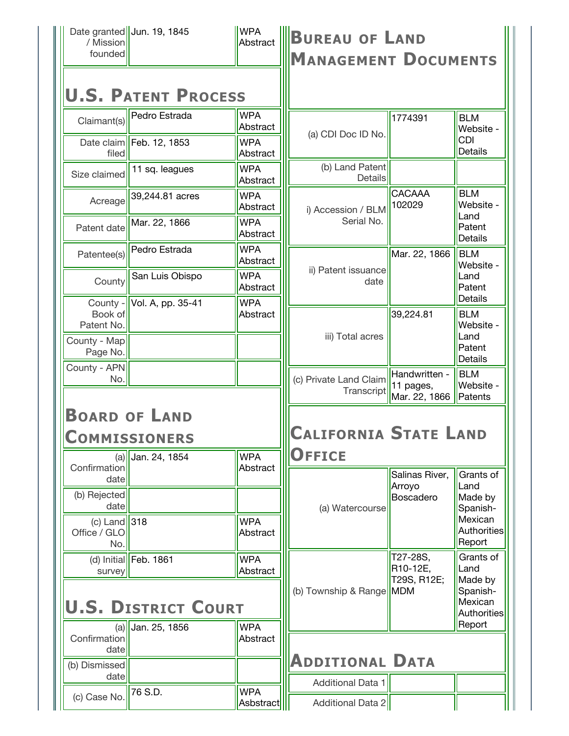| / Mission<br>founded                                                                   | Date granted Jun. 19, 1845                                    | <b>WPA</b>                         | Abstract <b>IIBUREAU OF LAND</b><br><b>MANAGEMENT DOCUMENTS</b> |                                              |                                                      |
|----------------------------------------------------------------------------------------|---------------------------------------------------------------|------------------------------------|-----------------------------------------------------------------|----------------------------------------------|------------------------------------------------------|
|                                                                                        | <b>U.S. PATENT PROCESS</b>                                    |                                    |                                                                 |                                              |                                                      |
| Claimant(s)                                                                            | Pedro Estrada                                                 | <b>WPA</b><br>Abstract             | (a) CDI Doc ID No.                                              | 1774391                                      | <b>BLM</b><br>Website -                              |
| filed                                                                                  | Date claim Feb. 12, 1853                                      | <b>WPA</b><br>Abstract             |                                                                 |                                              | <b>CDI</b><br><b>Details</b>                         |
| Size claimed                                                                           | 11 sq. leagues                                                | <b>WPA</b><br>Abstract             | (b) Land Patent<br><b>Details</b>                               |                                              |                                                      |
| Acreage                                                                                | 39,244.81 acres                                               | <b>WPA</b><br>Abstract             | i) Accession / BLM<br>Serial No.                                | CACAAA<br>102029                             | <b>BLM</b><br>Website -<br>Land<br>Patent<br>Details |
| Patent date                                                                            | Mar. 22, 1866                                                 | <b>WPA</b><br>Abstract             |                                                                 |                                              |                                                      |
| Patentee(s)                                                                            | Pedro Estrada                                                 | <b>WPA</b><br>Abstract             | ii) Patent issuance                                             | Mar. 22, 1866                                | <b>BLM</b><br>Website -                              |
| County                                                                                 | San Luis Obispo                                               | <b>WPA</b><br>Abstract             | date                                                            |                                              | Land<br>Patent<br><b>Details</b>                     |
| County -<br>Book of<br>Patent No.                                                      | Vol. A, pp. 35-41                                             | <b>WPA</b><br>Abstract             |                                                                 | 39,224.81                                    | <b>BLM</b><br>Website -                              |
| County - Map<br>Page No.                                                               |                                                               |                                    | iii) Total acres                                                |                                              | Land<br>Patent<br><b>Details</b>                     |
| County - APN                                                                           |                                                               |                                    |                                                                 |                                              |                                                      |
| No.                                                                                    |                                                               |                                    | (c) Private Land Claim<br>Transcript                            | Handwritten -<br>11 pages,<br>Mar. 22, 1866  | <b>BLM</b><br>Website -<br>Patents                   |
| (a)                                                                                    | <b>BOARD OF LAND</b><br><b>COMMISSIONERS</b><br>Jan. 24, 1854 | <b>WPA</b>                         | <b>CALIFORNIA STATE LAND</b><br><b>OFFICE</b>                   |                                              |                                                      |
| Confirmation<br>date<br>(b) Rejected<br>date<br>(c) Land $ 318$<br>Office / GLO<br>No. |                                                               | Abstract<br><b>WPA</b><br>Abstract | (a) Watercourse                                                 | Salinas River,<br>Arroyo<br><b>Boscadero</b> | Land<br>Made by<br>Spanish-<br>Mexican<br>Report     |
| survey                                                                                 | (d) Initial Feb. 1861                                         | <b>WPA</b><br>Abstract             | (b) Township & Range MDM                                        | T27-28S,<br>R10-12E,<br>T29S, R12E;          | Land<br>Made by<br>Spanish-                          |
|                                                                                        | <b>U.S. DISTRICT COURT</b>                                    |                                    |                                                                 |                                              | Mexican                                              |
| (a)<br>Confirmation<br>date                                                            | Jan. 25, 1856                                                 | <b>WPA</b><br>Abstract             |                                                                 |                                              | Report                                               |
| (b) Dismissed<br>date                                                                  |                                                               |                                    | <b>ADDITIONAL DATA</b><br>Additional Data 1                     |                                              | Grants of<br>Authorities<br>Grants of<br>Authorities |